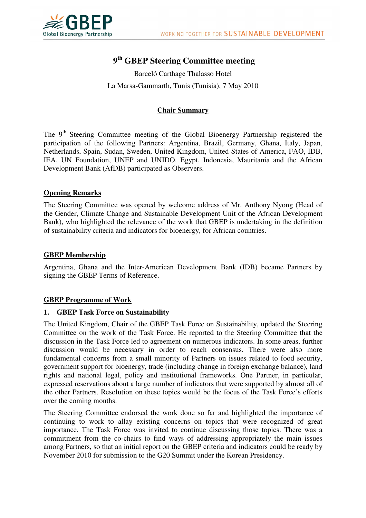

# **9 th GBEP Steering Committee meeting**

Barceló Carthage Thalasso Hotel La Marsa-Gammarth, Tunis (Tunisia), 7 May 2010

## **Chair Summary**

The 9<sup>th</sup> Steering Committee meeting of the Global Bioenergy Partnership registered the participation of the following Partners: Argentina, Brazil, Germany, Ghana, Italy, Japan, Netherlands, Spain, Sudan, Sweden, United Kingdom, United States of America, FAO, IDB, IEA, UN Foundation, UNEP and UNIDO. Egypt, Indonesia, Mauritania and the African Development Bank (AfDB) participated as Observers.

## **Opening Remarks**

The Steering Committee was opened by welcome address of Mr. Anthony Nyong (Head of the Gender, Climate Change and Sustainable Development Unit of the African Development Bank), who highlighted the relevance of the work that GBEP is undertaking in the definition of sustainability criteria and indicators for bioenergy, for African countries.

#### **GBEP Membership**

Argentina, Ghana and the Inter-American Development Bank (IDB) became Partners by signing the GBEP Terms of Reference.

#### **GBEP Programme of Work**

#### **1. GBEP Task Force on Sustainability**

The United Kingdom, Chair of the GBEP Task Force on Sustainability, updated the Steering Committee on the work of the Task Force. He reported to the Steering Committee that the discussion in the Task Force led to agreement on numerous indicators. In some areas, further discussion would be necessary in order to reach consensus. There were also more fundamental concerns from a small minority of Partners on issues related to food security, government support for bioenergy, trade (including change in foreign exchange balance), land rights and national legal, policy and institutional frameworks. One Partner, in particular, expressed reservations about a large number of indicators that were supported by almost all of the other Partners. Resolution on these topics would be the focus of the Task Force's efforts over the coming months.

The Steering Committee endorsed the work done so far and highlighted the importance of continuing to work to allay existing concerns on topics that were recognized of great importance. The Task Force was invited to continue discussing those topics. There was a commitment from the co-chairs to find ways of addressing appropriately the main issues among Partners, so that an initial report on the GBEP criteria and indicators could be ready by November 2010 for submission to the G20 Summit under the Korean Presidency.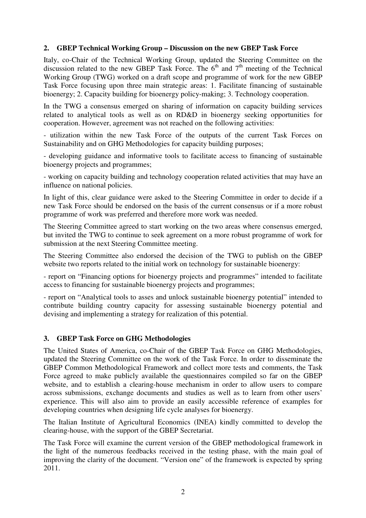## **2. GBEP Technical Working Group – Discussion on the new GBEP Task Force**

Italy, co-Chair of the Technical Working Group, updated the Steering Committee on the discussion related to the new GBEP Task Force. The  $6<sup>th</sup>$  and  $7<sup>th</sup>$  meeting of the Technical Working Group (TWG) worked on a draft scope and programme of work for the new GBEP Task Force focusing upon three main strategic areas: 1. Facilitate financing of sustainable bioenergy; 2. Capacity building for bioenergy policy-making; 3. Technology cooperation.

In the TWG a consensus emerged on sharing of information on capacity building services related to analytical tools as well as on RD&D in bioenergy seeking opportunities for cooperation. However, agreement was not reached on the following activities:

- utilization within the new Task Force of the outputs of the current Task Forces on Sustainability and on GHG Methodologies for capacity building purposes;

- developing guidance and informative tools to facilitate access to financing of sustainable bioenergy projects and programmes;

- working on capacity building and technology cooperation related activities that may have an influence on national policies.

In light of this, clear guidance were asked to the Steering Committee in order to decide if a new Task Force should be endorsed on the basis of the current consensus or if a more robust programme of work was preferred and therefore more work was needed.

The Steering Committee agreed to start working on the two areas where consensus emerged, but invited the TWG to continue to seek agreement on a more robust programme of work for submission at the next Steering Committee meeting.

The Steering Committee also endorsed the decision of the TWG to publish on the GBEP website two reports related to the initial work on technology for sustainable bioenergy:

- report on "Financing options for bioenergy projects and programmes" intended to facilitate access to financing for sustainable bioenergy projects and programmes;

- report on "Analytical tools to asses and unlock sustainable bioenergy potential" intended to contribute building country capacity for assessing sustainable bioenergy potential and devising and implementing a strategy for realization of this potential.

### **3. GBEP Task Force on GHG Methodologies**

The United States of America, co-Chair of the GBEP Task Force on GHG Methodologies, updated the Steering Committee on the work of the Task Force. In order to disseminate the GBEP Common Methodological Framework and collect more tests and comments, the Task Force agreed to make publicly available the questionnaires compiled so far on the GBEP website, and to establish a clearing-house mechanism in order to allow users to compare across submissions, exchange documents and studies as well as to learn from other users' experience. This will also aim to provide an easily accessible reference of examples for developing countries when designing life cycle analyses for bioenergy.

The Italian Institute of Agricultural Economics (INEA) kindly committed to develop the clearing-house, with the support of the GBEP Secretariat.

The Task Force will examine the current version of the GBEP methodological framework in the light of the numerous feedbacks received in the testing phase, with the main goal of improving the clarity of the document. "Version one" of the framework is expected by spring 2011.